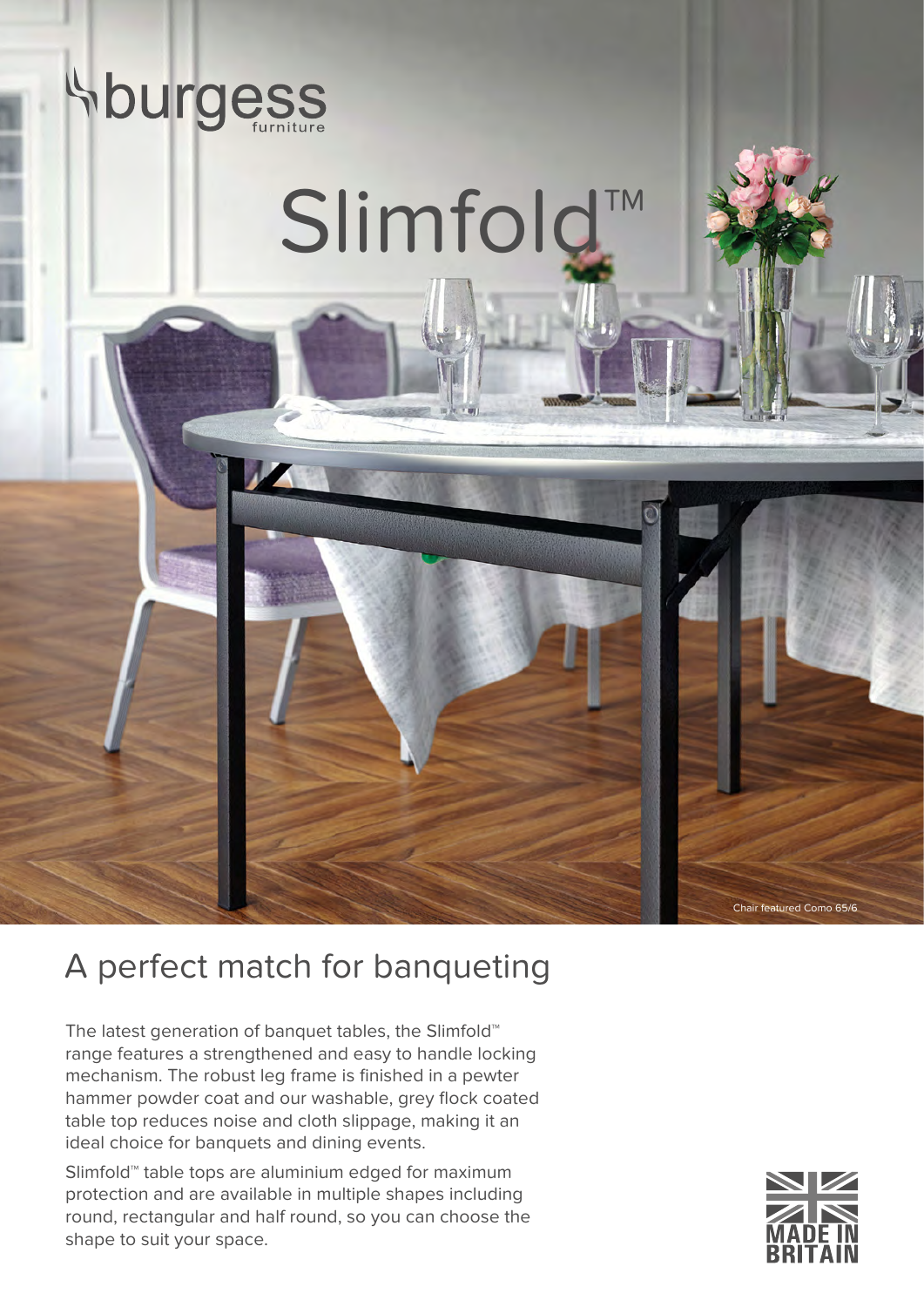

## A perfect match for banqueting

The latest generation of banquet tables, the Slimfold™ range features a strengthened and easy to handle locking mechanism. The robust leg frame is finished in a pewter hammer powder coat and our washable, grey flock coated table top reduces noise and cloth slippage, making it an ideal choice for banquets and dining events.

Slimfold™ table tops are aluminium edged for maximum protection and are available in multiple shapes including round, rectangular and half round, so you can choose the shape to suit your space.